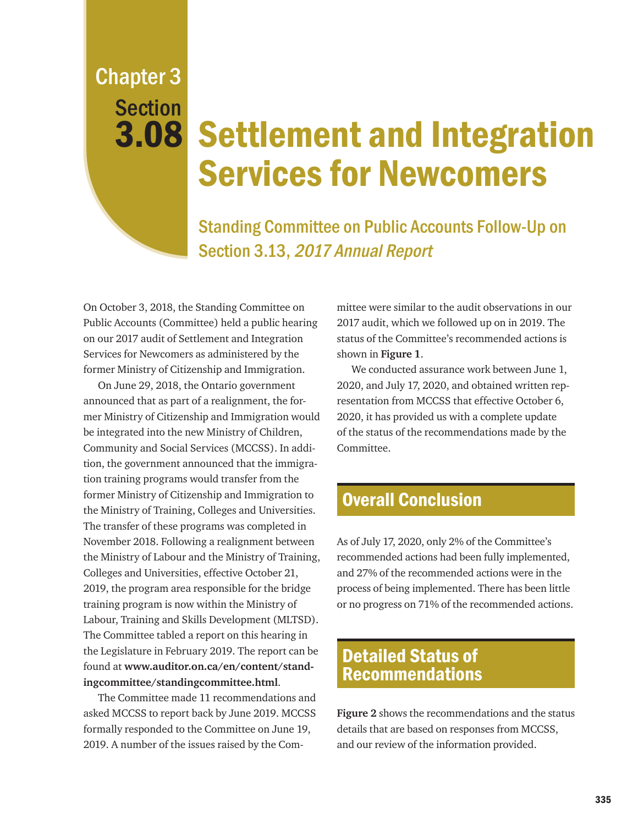Chapter 3 **Section** 

# 3.08 Settlement and Integration Services for Newcomers

Standing Committee on Public Accounts Follow-Up on Section 3.13, 2017 Annual Report

On October 3, 2018, the Standing Committee on Public Accounts (Committee) held a public hearing on our 2017 audit of Settlement and Integration Services for Newcomers as administered by the former Ministry of Citizenship and Immigration.

On June 29, 2018, the Ontario government announced that as part of a realignment, the former Ministry of Citizenship and Immigration would be integrated into the new Ministry of Children, Community and Social Services (MCCSS). In addition, the government announced that the immigration training programs would transfer from the former Ministry of Citizenship and Immigration to the Ministry of Training, Colleges and Universities. The transfer of these programs was completed in November 2018. Following a realignment between the Ministry of Labour and the Ministry of Training, Colleges and Universities, effective October 21, 2019, the program area responsible for the bridge training program is now within the Ministry of Labour, Training and Skills Development (MLTSD). The Committee tabled a report on this hearing in the Legislature in February 2019. The report can be found at **www.auditor.on.ca/en/content/standingcommittee/standingcommittee.html**.

The Committee made 11 recommendations and asked MCCSS to report back by June 2019. MCCSS formally responded to the Committee on June 19, 2019. A number of the issues raised by the Com-

mittee were similar to the audit observations in our 2017 audit, which we followed up on in 2019. The status of the Committee's recommended actions is shown in **Figure 1**.

We conducted assurance work between June 1, 2020, and July 17, 2020, and obtained written representation from MCCSS that effective October 6, 2020, it has provided us with a complete update of the status of the recommendations made by the Committee.

### Overall Conclusion

As of July 17, 2020, only 2% of the Committee's recommended actions had been fully implemented, and 27% of the recommended actions were in the process of being implemented. There has been little or no progress on 71% of the recommended actions.

## Detailed Status of Recommendations

**Figure 2** shows the recommendations and the status details that are based on responses from MCCSS, and our review of the information provided.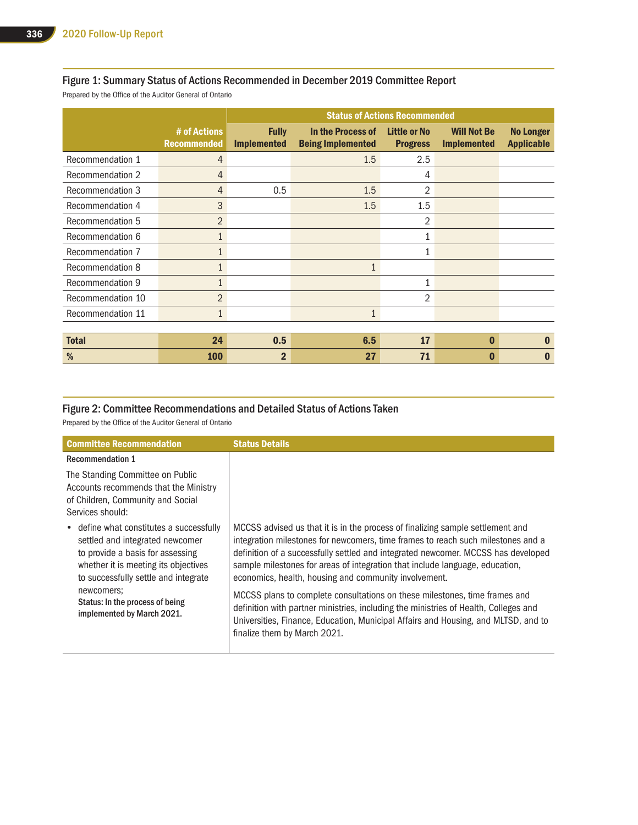#### Figure 1: Summary Status of Actions Recommended in December 2019 Committee Report

Prepared by the Office of the Auditor General of Ontario

|                         |                                    |                                    | <b>Status of Actions Recommended</b>          |                                        |                                          |                                       |
|-------------------------|------------------------------------|------------------------------------|-----------------------------------------------|----------------------------------------|------------------------------------------|---------------------------------------|
|                         | # of Actions<br><b>Recommended</b> | <b>Fully</b><br><b>Implemented</b> | In the Process of<br><b>Being Implemented</b> | <b>Little or No</b><br><b>Progress</b> | <b>Will Not Be</b><br><b>Implemented</b> | <b>No Longer</b><br><b>Applicable</b> |
| Recommendation 1        | $\overline{4}$                     |                                    | 1.5                                           | 2.5                                    |                                          |                                       |
| Recommendation 2        | $\overline{4}$                     |                                    |                                               | 4                                      |                                          |                                       |
| <b>Recommendation 3</b> | $\overline{4}$                     | 0.5                                | 1.5                                           | $\overline{2}$                         |                                          |                                       |
| Recommendation 4        | 3                                  |                                    | 1.5                                           | 1.5                                    |                                          |                                       |
| Recommendation 5        | $\overline{2}$                     |                                    |                                               | 2                                      |                                          |                                       |
| Recommendation 6        | $\mathbf{1}$                       |                                    |                                               | 1                                      |                                          |                                       |
| Recommendation 7        | $\mathbf{1}$                       |                                    |                                               | $\mathbf{1}$                           |                                          |                                       |
| Recommendation 8        | $\mathbf{1}$                       |                                    | $\mathbf{1}$                                  |                                        |                                          |                                       |
| <b>Recommendation 9</b> | $\mathbf{1}$                       |                                    |                                               | $\mathbf{1}$                           |                                          |                                       |
| Recommendation 10       | $\overline{2}$                     |                                    |                                               | 2                                      |                                          |                                       |
| Recommendation 11       | $\mathbf{1}$                       |                                    | $\mathbf{1}$                                  |                                        |                                          |                                       |
|                         |                                    |                                    |                                               |                                        |                                          |                                       |
| <b>Total</b>            | 24                                 | 0.5                                | 6.5                                           | 17                                     | $\bf{0}$                                 | $\bf{0}$                              |
| %                       | 100                                | $\overline{2}$                     | 27                                            | 71                                     | $\mathbf 0$                              | $\bf{0}$                              |

#### Figure 2: Committee Recommendations and Detailed Status of Actions Taken

Prepared by the Office of the Auditor General of Ontario

| <b>Committee Recommendation</b>                                                                                                                                                                 | <b>Status Details</b>                                                                                                                                                                                                                                                                                                                                                                            |
|-------------------------------------------------------------------------------------------------------------------------------------------------------------------------------------------------|--------------------------------------------------------------------------------------------------------------------------------------------------------------------------------------------------------------------------------------------------------------------------------------------------------------------------------------------------------------------------------------------------|
| <b>Recommendation 1</b><br>The Standing Committee on Public<br>Accounts recommends that the Ministry<br>of Children, Community and Social<br>Services should:                                   |                                                                                                                                                                                                                                                                                                                                                                                                  |
| • define what constitutes a successfully<br>settled and integrated newcomer<br>to provide a basis for assessing<br>whether it is meeting its objectives<br>to successfully settle and integrate | MCCSS advised us that it is in the process of finalizing sample settlement and<br>integration milestones for newcomers, time frames to reach such milestones and a<br>definition of a successfully settled and integrated newcomer. MCCSS has developed<br>sample milestones for areas of integration that include language, education,<br>economics, health, housing and community involvement. |
| newcomers;<br>Status: In the process of being<br>implemented by March 2021.                                                                                                                     | MCCSS plans to complete consultations on these milestones, time frames and<br>definition with partner ministries, including the ministries of Health, Colleges and<br>Universities, Finance, Education, Municipal Affairs and Housing, and MLTSD, and to<br>finalize them by March 2021.                                                                                                         |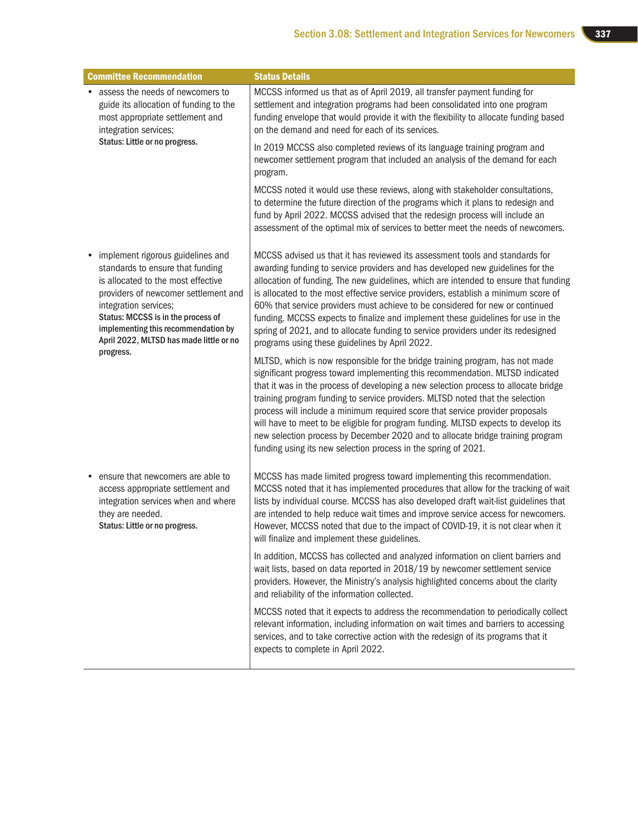| <b>Committee Recommendation</b>                                                                                                                                                                                                                                                                      | <b>Status Details</b>                                                                                                                                                                                                                                                                                                                                                                                                                                                                                                                                                                                                                                             |
|------------------------------------------------------------------------------------------------------------------------------------------------------------------------------------------------------------------------------------------------------------------------------------------------------|-------------------------------------------------------------------------------------------------------------------------------------------------------------------------------------------------------------------------------------------------------------------------------------------------------------------------------------------------------------------------------------------------------------------------------------------------------------------------------------------------------------------------------------------------------------------------------------------------------------------------------------------------------------------|
| assess the needs of newcomers to<br>guide its allocation of funding to the<br>most appropriate settlement and<br>integration services;                                                                                                                                                               | MCCSS informed us that as of April 2019, all transfer payment funding for<br>settlement and integration programs had been consolidated into one program<br>funding envelope that would provide it with the flexibility to allocate funding based<br>on the demand and need for each of its services.                                                                                                                                                                                                                                                                                                                                                              |
| Status: Little or no progress.                                                                                                                                                                                                                                                                       | In 2019 MCCSS also completed reviews of its language training program and<br>newcomer settlement program that included an analysis of the demand for each<br>program.                                                                                                                                                                                                                                                                                                                                                                                                                                                                                             |
|                                                                                                                                                                                                                                                                                                      | MCCSS noted it would use these reviews, along with stakeholder consultations,<br>to determine the future direction of the programs which it plans to redesign and<br>fund by April 2022. MCCSS advised that the redesign process will include an<br>assessment of the optimal mix of services to better meet the needs of newcomers.                                                                                                                                                                                                                                                                                                                              |
| implement rigorous guidelines and<br>standards to ensure that funding<br>is allocated to the most effective<br>providers of newcomer settlement and<br>integration services;<br>Status: MCCSS is in the process of<br>implementing this recommendation by<br>April 2022, MLTSD has made little or no | MCCSS advised us that it has reviewed its assessment tools and standards for<br>awarding funding to service providers and has developed new guidelines for the<br>allocation of funding. The new guidelines, which are intended to ensure that funding<br>is allocated to the most effective service providers, establish a minimum score of<br>60% that service providers must achieve to be considered for new or continued<br>funding. MCCSS expects to finalize and implement these guidelines for use in the<br>spring of 2021, and to allocate funding to service providers under its redesigned<br>programs using these guidelines by April 2022.          |
| progress.                                                                                                                                                                                                                                                                                            | MLTSD, which is now responsible for the bridge training program, has not made<br>significant progress toward implementing this recommendation. MLTSD indicated<br>that it was in the process of developing a new selection process to allocate bridge<br>training program funding to service providers. MLTSD noted that the selection<br>process will include a minimum required score that service provider proposals<br>will have to meet to be eligible for program funding. MLTSD expects to develop its<br>new selection process by December 2020 and to allocate bridge training program<br>funding using its new selection process in the spring of 2021. |
| ensure that newcomers are able to<br>access appropriate settlement and<br>integration services when and where<br>they are needed.<br>Status: Little or no progress.                                                                                                                                  | MCCSS has made limited progress toward implementing this recommendation.<br>MCCSS noted that it has implemented procedures that allow for the tracking of wait<br>lists by individual course. MCCSS has also developed draft wait-list guidelines that<br>are intended to help reduce wait times and improve service access for newcomers.<br>However, MCCSS noted that due to the impact of COVID-19, it is not clear when it<br>will finalize and implement these guidelines.                                                                                                                                                                                   |
|                                                                                                                                                                                                                                                                                                      | In addition, MCCSS has collected and analyzed information on client barriers and<br>wait lists, based on data reported in 2018/19 by newcomer settlement service<br>providers. However, the Ministry's analysis highlighted concerns about the clarity<br>and reliability of the information collected.                                                                                                                                                                                                                                                                                                                                                           |
|                                                                                                                                                                                                                                                                                                      | MCCSS noted that it expects to address the recommendation to periodically collect<br>relevant information, including information on wait times and barriers to accessing<br>services, and to take corrective action with the redesign of its programs that it<br>expects to complete in April 2022.                                                                                                                                                                                                                                                                                                                                                               |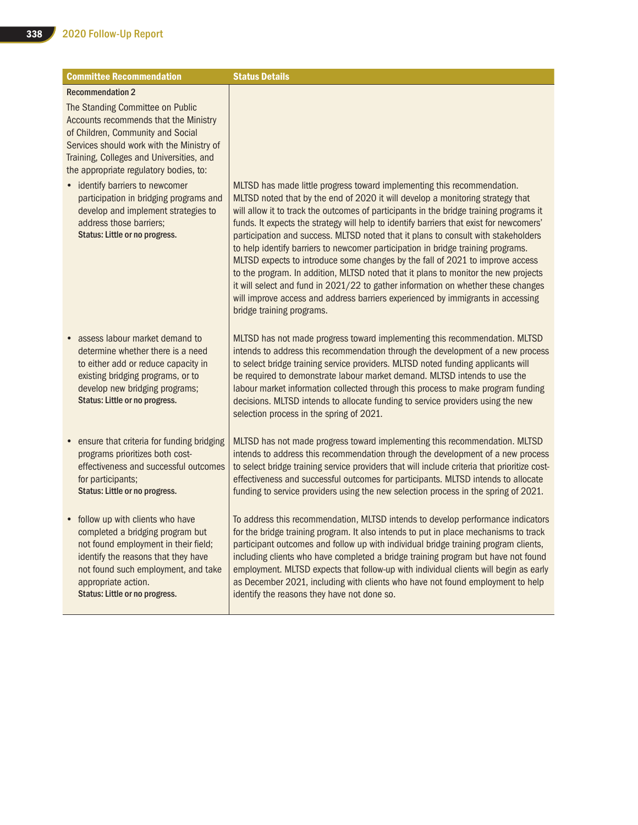| <b>Committee Recommendation</b>                                                                                                                                                                                                                    | <b>Status Details</b>                                                                                                                                                                                                                                                                                                                                                                                                                                                                                                                                                                                                                                                                                                                                                                                                                                                                               |
|----------------------------------------------------------------------------------------------------------------------------------------------------------------------------------------------------------------------------------------------------|-----------------------------------------------------------------------------------------------------------------------------------------------------------------------------------------------------------------------------------------------------------------------------------------------------------------------------------------------------------------------------------------------------------------------------------------------------------------------------------------------------------------------------------------------------------------------------------------------------------------------------------------------------------------------------------------------------------------------------------------------------------------------------------------------------------------------------------------------------------------------------------------------------|
| <b>Recommendation 2</b>                                                                                                                                                                                                                            |                                                                                                                                                                                                                                                                                                                                                                                                                                                                                                                                                                                                                                                                                                                                                                                                                                                                                                     |
| The Standing Committee on Public<br>Accounts recommends that the Ministry<br>of Children, Community and Social<br>Services should work with the Ministry of<br>Training, Colleges and Universities, and<br>the appropriate regulatory bodies, to:  |                                                                                                                                                                                                                                                                                                                                                                                                                                                                                                                                                                                                                                                                                                                                                                                                                                                                                                     |
| • identify barriers to newcomer<br>participation in bridging programs and<br>develop and implement strategies to<br>address those barriers;<br>Status: Little or no progress.                                                                      | MLTSD has made little progress toward implementing this recommendation.<br>MLTSD noted that by the end of 2020 it will develop a monitoring strategy that<br>will allow it to track the outcomes of participants in the bridge training programs it<br>funds. It expects the strategy will help to identify barriers that exist for newcomers'<br>participation and success. MLTSD noted that it plans to consult with stakeholders<br>to help identify barriers to newcomer participation in bridge training programs.<br>MLTSD expects to introduce some changes by the fall of 2021 to improve access<br>to the program. In addition, MLTSD noted that it plans to monitor the new projects<br>it will select and fund in 2021/22 to gather information on whether these changes<br>will improve access and address barriers experienced by immigrants in accessing<br>bridge training programs. |
| assess labour market demand to<br>determine whether there is a need<br>to either add or reduce capacity in<br>existing bridging programs, or to<br>develop new bridging programs;<br>Status: Little or no progress.                                | MLTSD has not made progress toward implementing this recommendation. MLTSD<br>intends to address this recommendation through the development of a new process<br>to select bridge training service providers. MLTSD noted funding applicants will<br>be required to demonstrate labour market demand. MLTSD intends to use the<br>labour market information collected through this process to make program funding<br>decisions. MLTSD intends to allocate funding to service providers using the new<br>selection process in the spring of 2021.                                                                                                                                                                                                                                                                                                                                                   |
| • ensure that criteria for funding bridging<br>programs prioritizes both cost-<br>effectiveness and successful outcomes<br>for participants;<br>Status: Little or no progress.                                                                     | MLTSD has not made progress toward implementing this recommendation. MLTSD<br>intends to address this recommendation through the development of a new process<br>to select bridge training service providers that will include criteria that prioritize cost-<br>effectiveness and successful outcomes for participants. MLTSD intends to allocate<br>funding to service providers using the new selection process in the spring of 2021.                                                                                                                                                                                                                                                                                                                                                                                                                                                           |
| follow up with clients who have<br>completed a bridging program but<br>not found employment in their field;<br>identify the reasons that they have<br>not found such employment, and take<br>appropriate action.<br>Status: Little or no progress. | To address this recommendation, MLTSD intends to develop performance indicators<br>for the bridge training program. It also intends to put in place mechanisms to track<br>participant outcomes and follow up with individual bridge training program clients,<br>including clients who have completed a bridge training program but have not found<br>employment. MLTSD expects that follow-up with individual clients will begin as early<br>as December 2021, including with clients who have not found employment to help<br>identify the reasons they have not done so.                                                                                                                                                                                                                                                                                                                        |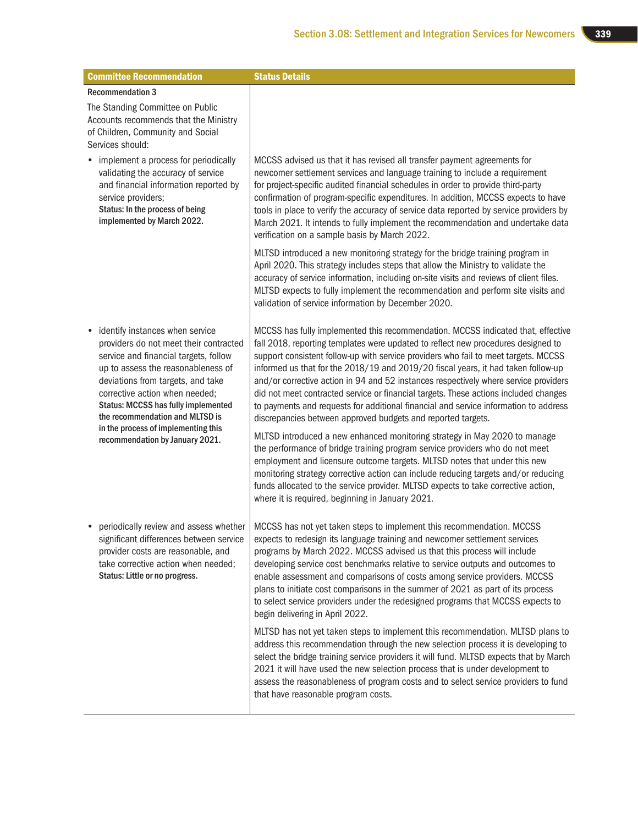| <b>Committee Recommendation</b>                                                                                                                                                                                                                                                                                                                                                     | <b>Status Details</b>                                                                                                                                                                                                                                                                                                                                                                                                                                                                                                                                                                                                                                                                                                                                                                                                                                                                                                                                                                                                                                                                                                                     |
|-------------------------------------------------------------------------------------------------------------------------------------------------------------------------------------------------------------------------------------------------------------------------------------------------------------------------------------------------------------------------------------|-------------------------------------------------------------------------------------------------------------------------------------------------------------------------------------------------------------------------------------------------------------------------------------------------------------------------------------------------------------------------------------------------------------------------------------------------------------------------------------------------------------------------------------------------------------------------------------------------------------------------------------------------------------------------------------------------------------------------------------------------------------------------------------------------------------------------------------------------------------------------------------------------------------------------------------------------------------------------------------------------------------------------------------------------------------------------------------------------------------------------------------------|
| <b>Recommendation 3</b>                                                                                                                                                                                                                                                                                                                                                             |                                                                                                                                                                                                                                                                                                                                                                                                                                                                                                                                                                                                                                                                                                                                                                                                                                                                                                                                                                                                                                                                                                                                           |
| The Standing Committee on Public<br>Accounts recommends that the Ministry<br>of Children, Community and Social<br>Services should:                                                                                                                                                                                                                                                  |                                                                                                                                                                                                                                                                                                                                                                                                                                                                                                                                                                                                                                                                                                                                                                                                                                                                                                                                                                                                                                                                                                                                           |
| • implement a process for periodically<br>validating the accuracy of service<br>and financial information reported by<br>service providers;<br>Status: In the process of being<br>implemented by March 2022.                                                                                                                                                                        | MCCSS advised us that it has revised all transfer payment agreements for<br>newcomer settlement services and language training to include a requirement<br>for project-specific audited financial schedules in order to provide third-party<br>confirmation of program-specific expenditures. In addition, MCCSS expects to have<br>tools in place to verify the accuracy of service data reported by service providers by<br>March 2021. It intends to fully implement the recommendation and undertake data<br>verification on a sample basis by March 2022.                                                                                                                                                                                                                                                                                                                                                                                                                                                                                                                                                                            |
|                                                                                                                                                                                                                                                                                                                                                                                     | MLTSD introduced a new monitoring strategy for the bridge training program in<br>April 2020. This strategy includes steps that allow the Ministry to validate the<br>accuracy of service information, including on-site visits and reviews of client files.<br>MLTSD expects to fully implement the recommendation and perform site visits and<br>validation of service information by December 2020.                                                                                                                                                                                                                                                                                                                                                                                                                                                                                                                                                                                                                                                                                                                                     |
| identify instances when service<br>providers do not meet their contracted<br>service and financial targets, follow<br>up to assess the reasonableness of<br>deviations from targets, and take<br>corrective action when needed;<br>Status: MCCSS has fully implemented<br>the recommendation and MLTSD is<br>in the process of implementing this<br>recommendation by January 2021. | MCCSS has fully implemented this recommendation. MCCSS indicated that, effective<br>fall 2018, reporting templates were updated to reflect new procedures designed to<br>support consistent follow-up with service providers who fail to meet targets. MCCSS<br>informed us that for the 2018/19 and 2019/20 fiscal years, it had taken follow-up<br>and/or corrective action in 94 and 52 instances respectively where service providers<br>did not meet contracted service or financial targets. These actions included changes<br>to payments and requests for additional financial and service information to address<br>discrepancies between approved budgets and reported targets.<br>MLTSD introduced a new enhanced monitoring strategy in May 2020 to manage<br>the performance of bridge training program service providers who do not meet<br>employment and licensure outcome targets. MLTSD notes that under this new<br>monitoring strategy corrective action can include reducing targets and/or reducing<br>funds allocated to the service provider. MLTSD expects to take corrective action,                            |
| • periodically review and assess whether<br>significant differences between service<br>provider costs are reasonable, and<br>take corrective action when needed;<br>Status: Little or no progress.                                                                                                                                                                                  | where it is required, beginning in January 2021.<br>MCCSS has not yet taken steps to implement this recommendation. MCCSS<br>expects to redesign its language training and newcomer settlement services<br>programs by March 2022. MCCSS advised us that this process will include<br>developing service cost benchmarks relative to service outputs and outcomes to<br>enable assessment and comparisons of costs among service providers. MCCSS<br>plans to initiate cost comparisons in the summer of 2021 as part of its process<br>to select service providers under the redesigned programs that MCCSS expects to<br>begin delivering in April 2022.<br>MLTSD has not yet taken steps to implement this recommendation. MLTSD plans to<br>address this recommendation through the new selection process it is developing to<br>select the bridge training service providers it will fund. MLTSD expects that by March<br>2021 it will have used the new selection process that is under development to<br>assess the reasonableness of program costs and to select service providers to fund<br>that have reasonable program costs. |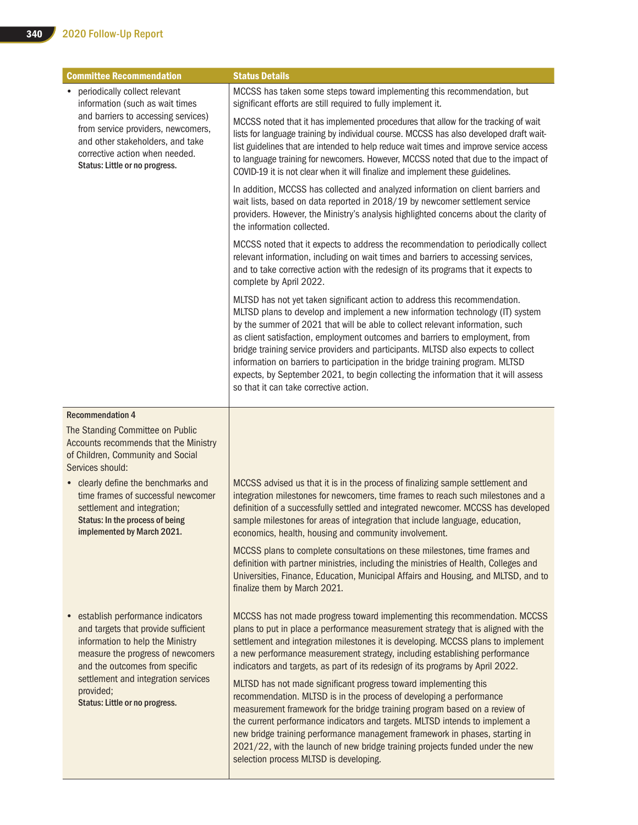| <b>Committee Recommendation</b>                                                                                                                                                                                                                                    | <b>Status Details</b>                                                                                                                                                                                                                                                                                                                                                                                                                                                                                                                                                                                                                |
|--------------------------------------------------------------------------------------------------------------------------------------------------------------------------------------------------------------------------------------------------------------------|--------------------------------------------------------------------------------------------------------------------------------------------------------------------------------------------------------------------------------------------------------------------------------------------------------------------------------------------------------------------------------------------------------------------------------------------------------------------------------------------------------------------------------------------------------------------------------------------------------------------------------------|
| periodically collect relevant<br>$\bullet$<br>information (such as wait times<br>and barriers to accessing services)<br>from service providers, newcomers,<br>and other stakeholders, and take<br>corrective action when needed.<br>Status: Little or no progress. | MCCSS has taken some steps toward implementing this recommendation, but<br>significant efforts are still required to fully implement it.                                                                                                                                                                                                                                                                                                                                                                                                                                                                                             |
|                                                                                                                                                                                                                                                                    | MCCSS noted that it has implemented procedures that allow for the tracking of wait<br>lists for language training by individual course. MCCSS has also developed draft wait-<br>list guidelines that are intended to help reduce wait times and improve service access<br>to language training for newcomers. However, MCCSS noted that due to the impact of<br>COVID-19 it is not clear when it will finalize and implement these guidelines.                                                                                                                                                                                       |
|                                                                                                                                                                                                                                                                    | In addition, MCCSS has collected and analyzed information on client barriers and<br>wait lists, based on data reported in 2018/19 by newcomer settlement service<br>providers. However, the Ministry's analysis highlighted concerns about the clarity of<br>the information collected.                                                                                                                                                                                                                                                                                                                                              |
|                                                                                                                                                                                                                                                                    | MCCSS noted that it expects to address the recommendation to periodically collect<br>relevant information, including on wait times and barriers to accessing services,<br>and to take corrective action with the redesign of its programs that it expects to<br>complete by April 2022.                                                                                                                                                                                                                                                                                                                                              |
|                                                                                                                                                                                                                                                                    | MLTSD has not yet taken significant action to address this recommendation.<br>MLTSD plans to develop and implement a new information technology (IT) system<br>by the summer of 2021 that will be able to collect relevant information, such<br>as client satisfaction, employment outcomes and barriers to employment, from<br>bridge training service providers and participants. MLTSD also expects to collect<br>information on barriers to participation in the bridge training program. MLTSD<br>expects, by September 2021, to begin collecting the information that it will assess<br>so that it can take corrective action. |
| <b>Recommendation 4</b>                                                                                                                                                                                                                                            |                                                                                                                                                                                                                                                                                                                                                                                                                                                                                                                                                                                                                                      |
| The Standing Committee on Public<br>Accounts recommends that the Ministry<br>of Children, Community and Social<br>Services should:                                                                                                                                 |                                                                                                                                                                                                                                                                                                                                                                                                                                                                                                                                                                                                                                      |
| • clearly define the benchmarks and<br>time frames of successful newcomer<br>settlement and integration;<br>Status: In the process of being<br>implemented by March 2021.                                                                                          | MCCSS advised us that it is in the process of finalizing sample settlement and<br>integration milestones for newcomers, time frames to reach such milestones and a<br>definition of a successfully settled and integrated newcomer. MCCSS has developed<br>sample milestones for areas of integration that include language, education,<br>economics, health, housing and community involvement.                                                                                                                                                                                                                                     |
|                                                                                                                                                                                                                                                                    | MCCSS plans to complete consultations on these milestones, time frames and<br>definition with partner ministries, including the ministries of Health, Colleges and<br>Universities, Finance, Education, Municipal Affairs and Housing, and MLTSD, and to<br>finalize them by March 2021.                                                                                                                                                                                                                                                                                                                                             |
| establish performance indicators<br>and targets that provide sufficient<br>information to help the Ministry<br>measure the progress of newcomers<br>and the outcomes from specific                                                                                 | MCCSS has not made progress toward implementing this recommendation. MCCSS<br>plans to put in place a performance measurement strategy that is aligned with the<br>settlement and integration milestones it is developing. MCCSS plans to implement<br>a new performance measurement strategy, including establishing performance<br>indicators and targets, as part of its redesign of its programs by April 2022.                                                                                                                                                                                                                  |
| settlement and integration services<br>provided;<br>Status: Little or no progress.                                                                                                                                                                                 | MLTSD has not made significant progress toward implementing this<br>recommendation. MLTSD is in the process of developing a performance<br>measurement framework for the bridge training program based on a review of<br>the current performance indicators and targets. MLTSD intends to implement a<br>new bridge training performance management framework in phases, starting in<br>2021/22, with the launch of new bridge training projects funded under the new<br>selection process MLTSD is developing.                                                                                                                      |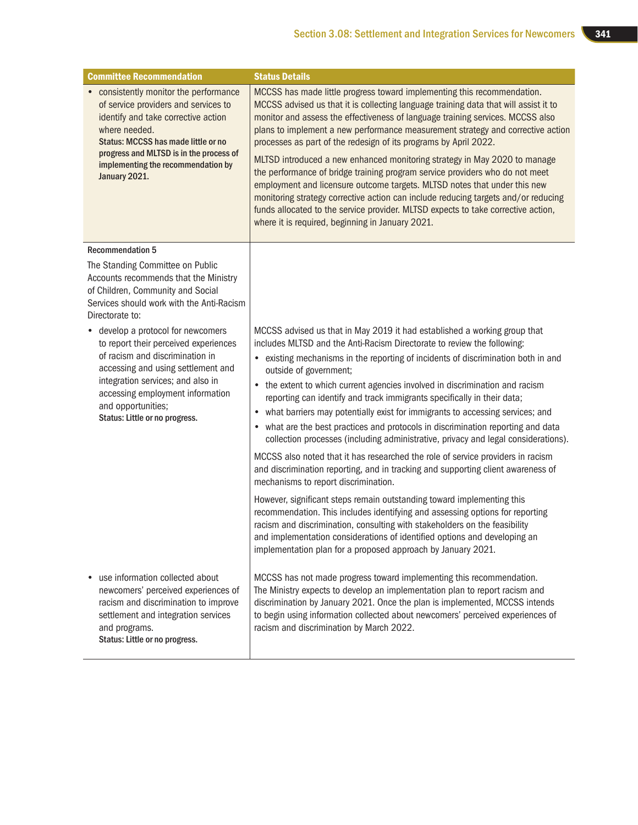| <b>Committee Recommendation</b>                                                                                                                                                                                                                                                       | <b>Status Details</b>                                                                                                                                                                                                                                                                                                                                                                                                                                                                                                                                                                                                                                                                                                                                                                                                                                                             |
|---------------------------------------------------------------------------------------------------------------------------------------------------------------------------------------------------------------------------------------------------------------------------------------|-----------------------------------------------------------------------------------------------------------------------------------------------------------------------------------------------------------------------------------------------------------------------------------------------------------------------------------------------------------------------------------------------------------------------------------------------------------------------------------------------------------------------------------------------------------------------------------------------------------------------------------------------------------------------------------------------------------------------------------------------------------------------------------------------------------------------------------------------------------------------------------|
| • consistently monitor the performance<br>of service providers and services to<br>identify and take corrective action<br>where needed.<br>Status: MCCSS has made little or no<br>progress and MLTSD is in the process of<br>implementing the recommendation by<br>January 2021.       | MCCSS has made little progress toward implementing this recommendation.<br>MCCSS advised us that it is collecting language training data that will assist it to<br>monitor and assess the effectiveness of language training services. MCCSS also<br>plans to implement a new performance measurement strategy and corrective action<br>processes as part of the redesign of its programs by April 2022.<br>MLTSD introduced a new enhanced monitoring strategy in May 2020 to manage<br>the performance of bridge training program service providers who do not meet<br>employment and licensure outcome targets. MLTSD notes that under this new<br>monitoring strategy corrective action can include reducing targets and/or reducing<br>funds allocated to the service provider. MLTSD expects to take corrective action,<br>where it is required, beginning in January 2021. |
| <b>Recommendation 5</b>                                                                                                                                                                                                                                                               |                                                                                                                                                                                                                                                                                                                                                                                                                                                                                                                                                                                                                                                                                                                                                                                                                                                                                   |
| The Standing Committee on Public<br>Accounts recommends that the Ministry<br>of Children, Community and Social<br>Services should work with the Anti-Racism<br>Directorate to:                                                                                                        |                                                                                                                                                                                                                                                                                                                                                                                                                                                                                                                                                                                                                                                                                                                                                                                                                                                                                   |
| • develop a protocol for newcomers<br>to report their perceived experiences<br>of racism and discrimination in<br>accessing and using settlement and<br>integration services; and also in<br>accessing employment information<br>and opportunities;<br>Status: Little or no progress. | MCCSS advised us that in May 2019 it had established a working group that<br>includes MLTSD and the Anti-Racism Directorate to review the following:<br>• existing mechanisms in the reporting of incidents of discrimination both in and<br>outside of government;<br>• the extent to which current agencies involved in discrimination and racism<br>reporting can identify and track immigrants specifically in their data;<br>• what barriers may potentially exist for immigrants to accessing services; and<br>what are the best practices and protocols in discrimination reporting and data<br>collection processes (including administrative, privacy and legal considerations).<br>MCCSS also noted that it has researched the role of service providers in racism<br>and discrimination reporting, and in tracking and supporting client awareness of                  |
|                                                                                                                                                                                                                                                                                       | mechanisms to report discrimination.                                                                                                                                                                                                                                                                                                                                                                                                                                                                                                                                                                                                                                                                                                                                                                                                                                              |
|                                                                                                                                                                                                                                                                                       | However, significant steps remain outstanding toward implementing this<br>recommendation. This includes identifying and assessing options for reporting<br>racism and discrimination, consulting with stakeholders on the feasibility<br>and implementation considerations of identified options and developing an<br>implementation plan for a proposed approach by January 2021.                                                                                                                                                                                                                                                                                                                                                                                                                                                                                                |
| use information collected about<br>newcomers' perceived experiences of<br>racism and discrimination to improve<br>settlement and integration services<br>and programs.<br>Status: Little or no progress.                                                                              | MCCSS has not made progress toward implementing this recommendation.<br>The Ministry expects to develop an implementation plan to report racism and<br>discrimination by January 2021. Once the plan is implemented, MCCSS intends<br>to begin using information collected about newcomers' perceived experiences of<br>racism and discrimination by March 2022.                                                                                                                                                                                                                                                                                                                                                                                                                                                                                                                  |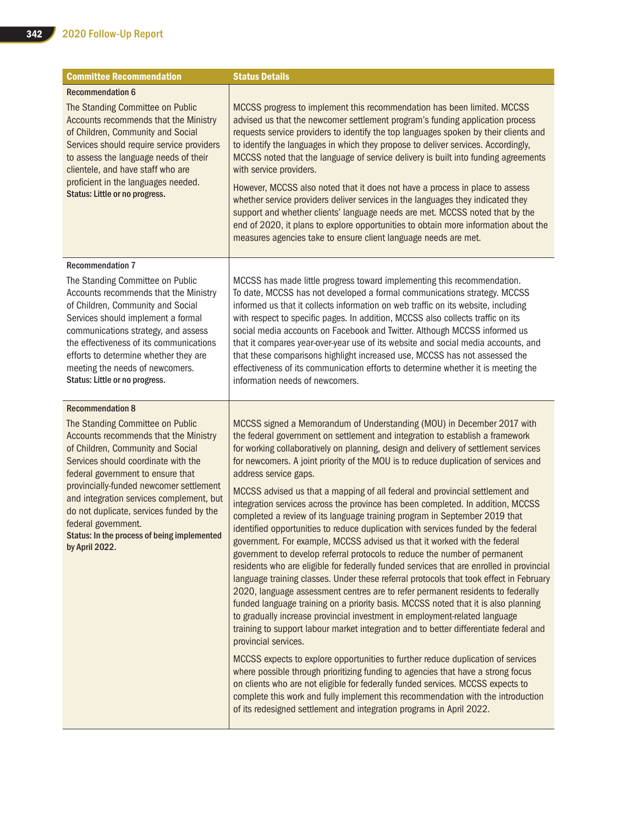| <b>Committee Recommendation</b>                                                                                                                                                                                                                                                                                                                                                                                                                  | <b>Status Details</b>                                                                                                                                                                                                                                                                                                                                                                                                                                                                                                                                                                                                                                                                                                                                                                                                                                                                                                                                                                                                                                                                                                                                                                                                                                                                                                                                                                                                                                                                                                                                                                                                                                                                                                                                                                                                                                 |
|--------------------------------------------------------------------------------------------------------------------------------------------------------------------------------------------------------------------------------------------------------------------------------------------------------------------------------------------------------------------------------------------------------------------------------------------------|-------------------------------------------------------------------------------------------------------------------------------------------------------------------------------------------------------------------------------------------------------------------------------------------------------------------------------------------------------------------------------------------------------------------------------------------------------------------------------------------------------------------------------------------------------------------------------------------------------------------------------------------------------------------------------------------------------------------------------------------------------------------------------------------------------------------------------------------------------------------------------------------------------------------------------------------------------------------------------------------------------------------------------------------------------------------------------------------------------------------------------------------------------------------------------------------------------------------------------------------------------------------------------------------------------------------------------------------------------------------------------------------------------------------------------------------------------------------------------------------------------------------------------------------------------------------------------------------------------------------------------------------------------------------------------------------------------------------------------------------------------------------------------------------------------------------------------------------------------|
| <b>Recommendation 6</b><br>The Standing Committee on Public<br>Accounts recommends that the Ministry<br>of Children, Community and Social<br>Services should require service providers<br>to assess the language needs of their<br>clientele, and have staff who are<br>proficient in the languages needed.<br>Status: Little or no progress.                                                                                                    | MCCSS progress to implement this recommendation has been limited. MCCSS<br>advised us that the newcomer settlement program's funding application process<br>requests service providers to identify the top languages spoken by their clients and<br>to identify the languages in which they propose to deliver services. Accordingly,<br>MCCSS noted that the language of service delivery is built into funding agreements<br>with service providers.<br>However, MCCSS also noted that it does not have a process in place to assess<br>whether service providers deliver services in the languages they indicated they<br>support and whether clients' language needs are met. MCCSS noted that by the<br>end of 2020, it plans to explore opportunities to obtain more information about the<br>measures agencies take to ensure client language needs are met.                                                                                                                                                                                                                                                                                                                                                                                                                                                                                                                                                                                                                                                                                                                                                                                                                                                                                                                                                                                   |
| <b>Recommendation 7</b><br>The Standing Committee on Public<br>Accounts recommends that the Ministry<br>of Children, Community and Social<br>Services should implement a formal<br>communications strategy, and assess<br>the effectiveness of its communications<br>efforts to determine whether they are<br>meeting the needs of newcomers.<br>Status: Little or no progress.                                                                  | MCCSS has made little progress toward implementing this recommendation.<br>To date, MCCSS has not developed a formal communications strategy. MCCSS<br>informed us that it collects information on web traffic on its website, including<br>with respect to specific pages. In addition, MCCSS also collects traffic on its<br>social media accounts on Facebook and Twitter. Although MCCSS informed us<br>that it compares year-over-year use of its website and social media accounts, and<br>that these comparisons highlight increased use, MCCSS has not assessed the<br>effectiveness of its communication efforts to determine whether it is meeting the<br>information needs of newcomers.                                                                                                                                                                                                                                                                                                                                                                                                                                                                                                                                                                                                                                                                                                                                                                                                                                                                                                                                                                                                                                                                                                                                                   |
| <b>Recommendation 8</b><br>The Standing Committee on Public<br>Accounts recommends that the Ministry<br>of Children, Community and Social<br>Services should coordinate with the<br>federal government to ensure that<br>provincially-funded newcomer settlement<br>and integration services complement, but<br>do not duplicate, services funded by the<br>federal government.<br>Status: In the process of being implemented<br>by April 2022. | MCCSS signed a Memorandum of Understanding (MOU) in December 2017 with<br>the federal government on settlement and integration to establish a framework<br>for working collaboratively on planning, design and delivery of settlement services<br>for newcomers. A joint priority of the MOU is to reduce duplication of services and<br>address service gaps.<br>MCCSS advised us that a mapping of all federal and provincial settlement and<br>integration services across the province has been completed. In addition, MCCSS<br>completed a review of its language training program in September 2019 that<br>identified opportunities to reduce duplication with services funded by the federal<br>government. For example, MCCSS advised us that it worked with the federal<br>government to develop referral protocols to reduce the number of permanent<br>residents who are eligible for federally funded services that are enrolled in provincial<br>language training classes. Under these referral protocols that took effect in February<br>2020, language assessment centres are to refer permanent residents to federally<br>funded language training on a priority basis. MCCSS noted that it is also planning<br>to gradually increase provincial investment in employment-related language<br>training to support labour market integration and to better differentiate federal and<br>provincial services.<br>MCCSS expects to explore opportunities to further reduce duplication of services<br>where possible through prioritizing funding to agencies that have a strong focus<br>on clients who are not eligible for federally funded services. MCCSS expects to<br>complete this work and fully implement this recommendation with the introduction<br>of its redesigned settlement and integration programs in April 2022. |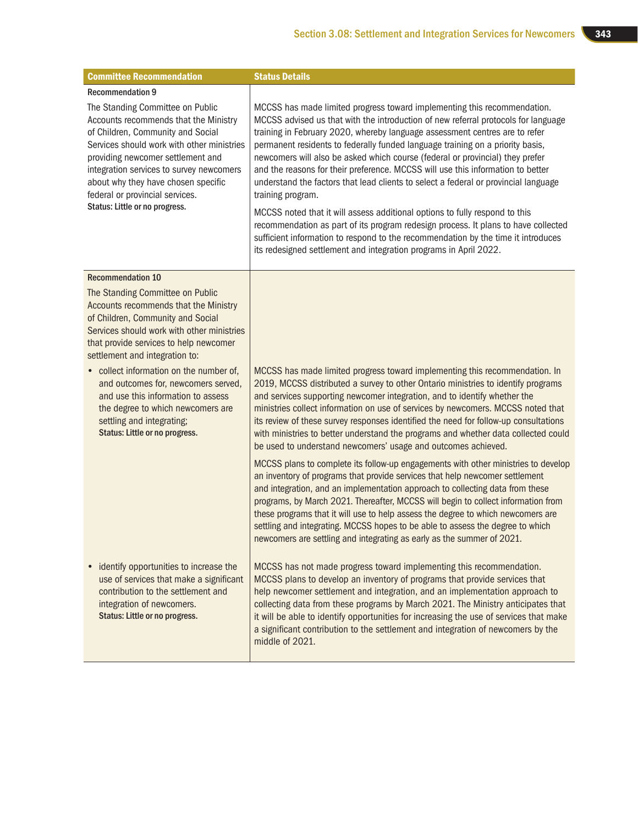| <b>Committee Recommendation</b>                                                                                                                                                                                                                                                                                                                           | <b>Status Details</b>                                                                                                                                                                                                                                                                                                                                                                                                                                                                                                                                                                                                                                                                                                                                                                                                                                                                                                                          |
|-----------------------------------------------------------------------------------------------------------------------------------------------------------------------------------------------------------------------------------------------------------------------------------------------------------------------------------------------------------|------------------------------------------------------------------------------------------------------------------------------------------------------------------------------------------------------------------------------------------------------------------------------------------------------------------------------------------------------------------------------------------------------------------------------------------------------------------------------------------------------------------------------------------------------------------------------------------------------------------------------------------------------------------------------------------------------------------------------------------------------------------------------------------------------------------------------------------------------------------------------------------------------------------------------------------------|
| <b>Recommendation 9</b>                                                                                                                                                                                                                                                                                                                                   |                                                                                                                                                                                                                                                                                                                                                                                                                                                                                                                                                                                                                                                                                                                                                                                                                                                                                                                                                |
| The Standing Committee on Public<br>Accounts recommends that the Ministry<br>of Children, Community and Social<br>Services should work with other ministries<br>providing newcomer settlement and<br>integration services to survey newcomers<br>about why they have chosen specific<br>federal or provincial services.<br>Status: Little or no progress. | MCCSS has made limited progress toward implementing this recommendation.<br>MCCSS advised us that with the introduction of new referral protocols for language<br>training in February 2020, whereby language assessment centres are to refer<br>permanent residents to federally funded language training on a priority basis,<br>newcomers will also be asked which course (federal or provincial) they prefer<br>and the reasons for their preference. MCCSS will use this information to better<br>understand the factors that lead clients to select a federal or provincial language<br>training program.<br>MCCSS noted that it will assess additional options to fully respond to this<br>recommendation as part of its program redesign process. It plans to have collected<br>sufficient information to respond to the recommendation by the time it introduces<br>its redesigned settlement and integration programs in April 2022. |
| <b>Recommendation 10</b>                                                                                                                                                                                                                                                                                                                                  |                                                                                                                                                                                                                                                                                                                                                                                                                                                                                                                                                                                                                                                                                                                                                                                                                                                                                                                                                |
| The Standing Committee on Public<br>Accounts recommends that the Ministry<br>of Children, Community and Social<br>Services should work with other ministries<br>that provide services to help newcomer<br>settlement and integration to:                                                                                                                  |                                                                                                                                                                                                                                                                                                                                                                                                                                                                                                                                                                                                                                                                                                                                                                                                                                                                                                                                                |
| • collect information on the number of,<br>and outcomes for, newcomers served,<br>and use this information to assess<br>the degree to which newcomers are<br>settling and integrating;<br>Status: Little or no progress.                                                                                                                                  | MCCSS has made limited progress toward implementing this recommendation. In<br>2019, MCCSS distributed a survey to other Ontario ministries to identify programs<br>and services supporting newcomer integration, and to identify whether the<br>ministries collect information on use of services by newcomers. MCCSS noted that<br>its review of these survey responses identified the need for follow-up consultations<br>with ministries to better understand the programs and whether data collected could<br>be used to understand newcomers' usage and outcomes achieved.                                                                                                                                                                                                                                                                                                                                                               |
|                                                                                                                                                                                                                                                                                                                                                           | MCCSS plans to complete its follow-up engagements with other ministries to develop<br>an inventory of programs that provide services that help newcomer settlement<br>and integration, and an implementation approach to collecting data from these<br>programs, by March 2021. Thereafter, MCCSS will begin to collect information from<br>these programs that it will use to help assess the degree to which newcomers are<br>settling and integrating. MCCSS hopes to be able to assess the degree to which<br>newcomers are settling and integrating as early as the summer of 2021.                                                                                                                                                                                                                                                                                                                                                       |
| identify opportunities to increase the<br>use of services that make a significant<br>contribution to the settlement and<br>integration of newcomers.<br>Status: Little or no progress.                                                                                                                                                                    | MCCSS has not made progress toward implementing this recommendation.<br>MCCSS plans to develop an inventory of programs that provide services that<br>help newcomer settlement and integration, and an implementation approach to<br>collecting data from these programs by March 2021. The Ministry anticipates that<br>it will be able to identify opportunities for increasing the use of services that make<br>a significant contribution to the settlement and integration of newcomers by the<br>middle of 2021.                                                                                                                                                                                                                                                                                                                                                                                                                         |